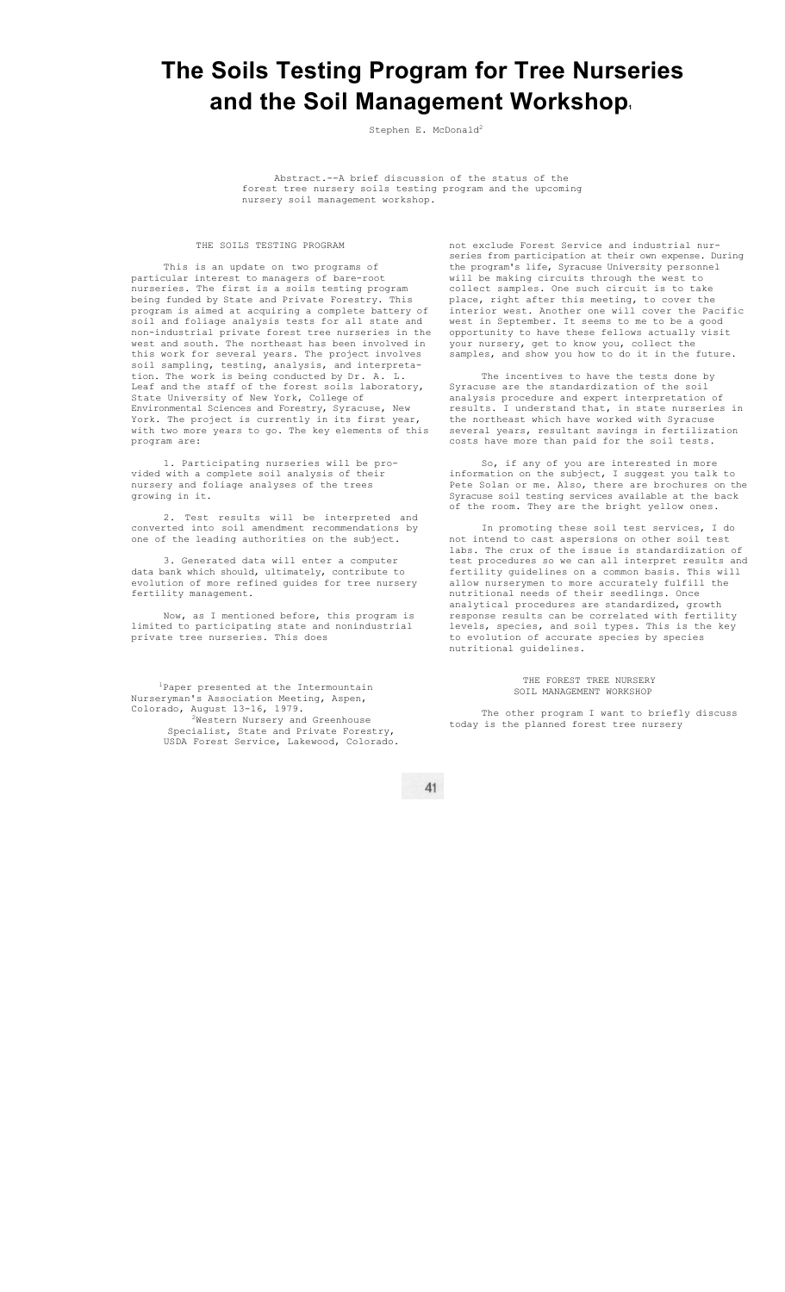## **The Soils Testing Program for Tree Nurseries and the Soil Management Workshop1**

Stephen E. McDonald<sup>2</sup>

Abstract.--A brief discussion of the status of the forest tree nursery soils testing program and the upcoming nursery soil management workshop.

## THE SOILS TESTING PROGRAM

This is an update on two programs of particular interest to managers of bare-root nurseries. The first is a soils testing program being funded by State and Private Forestry. This program is aimed at acquiring a complete battery of soil and foliage analysis tests for all state and non-industrial private forest tree nurseries in the west and south. The northeast has been involved in this work for several years. The project involves soil sampling, testing, analysis, and interpretation. The work is being conducted by Dr. A. L. Leaf and the staff of the forest soils laboratory, State University of New York, College of Environmental Sciences and Forestry, Syracuse, New York. The project is currently in its first year, with two more years to go. The key elements of this program are:

1. Participating nurseries will be provided with a complete soil analysis of their nursery and foliage analyses of the trees growing in it.

Test results will be interpreted and converted into soil amendment recommendations by one of the leading authorities on the subject.

3. Generated data will enter a computer data bank which should, ultimately, contribute to evolution of more refined guides for tree nursery fertility management.

Now, as I mentioned before, this program is limited to participating state and nonindustrial private tree nurseries. This does

1 Paper presented at the Intermountain Nurseryman's Association Meeting, Aspen, Colorado, August 13-16, 1979. 2Western Nursery and Greenhouse

Specialist, State and Private Forestry, USDA Forest Service, Lakewood, Colorado. not exclude Forest Service and industrial nurseries from participation at their own expense. During the program's life, Syracuse University personnel will be making circuits through the west to collect samples. One such circuit is to take place, right after this meeting, to cover the interior west. Another one will cover the Pacific west in September. It seems to me to be a good opportunity to have these fellows actually visit your nursery, get to know you, collect the samples, and show you how to do it in the future.

The incentives to have the tests done by Syracuse are the standardization of the soil analysis procedure and expert interpretation of I understand that, in state nurseries in the northeast which have worked with Syracuse several years, resultant savings in fertilization costs have more than paid for the soil tests.

So, if any of you are interested in more information on the subject, I suggest you talk to Pete Solan or me. Also, there are brochures on the Syracuse soil testing services available at the back of the room. They are the bright yellow ones.

In promoting these soil test services, I do not intend to cast aspersions on other soil test labs. The crux of the issue is standardization of test procedures so we can all interpret results and fertility guidelines on a common basis. This will allow nurserymen to more accurately fulfill the nutritional needs of their seedlings. Once analytical procedures are standardized, growth response results can be correlated with fertility levels, species, and soil types. This is the key to evolution of accurate species by species nutritional guidelines.

> THE FOREST TREE NURSERY SOIL MANAGEMENT WORKSHOP

The other program I want to briefly discuss today is the planned forest tree nursery

41